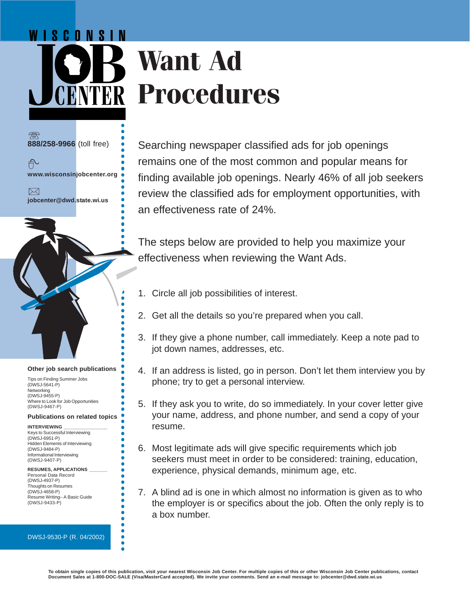## WISCONSIN **Want Ad Procedures**

**888/258-9966** (toll free)

币

**www.wisconsinjobcenter.org**  $\bowtie$ 

**jobcenter@dwd.state.wi.us**

Searching newspaper classified ads for job openings remains one of the most common and popular means for finding available job openings. Nearly 46% of all job seekers review the classified ads for employment opportunities, with an effectiveness rate of 24%.

The steps below are provided to help you maximize your effectiveness when reviewing the Want Ads.

- 1. Circle all job possibilities of interest.
- 2. Get all the details so you're prepared when you call.
- 3. If they give a phone number, call immediately. Keep a note pad to jot down names, addresses, etc.
- 4. If an address is listed, go in person. Don't let them interview you by phone; try to get a personal interview.
- 5. If they ask you to write, do so immediately. In your cover letter give your name, address, and phone number, and send a copy of your resume.
- 6. Most legitimate ads will give specific requirements which job seekers must meet in order to be considered: training, education, experience, physical demands, minimum age, etc.
- 7. A blind ad is one in which almost no information is given as to who the employer is or specifics about the job. Often the only reply is to a box number.

# ○○○○○○○○○○○○○○○○○○○○○○○○○○○○○○○○○○○○○○○○○○○○ **Other job search publications** ○○○○○○○○○○○○○○○○○○○○○○○○○○○○○○○○○○○○○○○○○○○○

Tips on Finding Summer Jobs (DWSJ-5641-P) Networking (DWSJ-9455-P) Where to Look for Job Opportunities (DWSJ-9467-P)

### **Publications on related topics**

**INTERVIEWING \_\_\_\_\_\_\_\_\_\_\_\_\_\_\_\_\_** Keys to Successful Interviewing (DWSJ-6951-P) Hidden Elements of Interviewing (DWSJ-9484-P) Informational Interviewing (DWSJ-9407-P)

#### **RESUMES, APPLICATIONS \_\_\_\_\_\_\_**

○○○○○○○○○○○○○○○○○○○○○○○○○○

○○○○○○○○○○○○○○○○○○○○○○○○○○

 $\bullet$ 

Personal Data Record (DWSJ-4937-P) Thoughts on Resumes (DWSJ-4658-P) Resume Writing– A Basic Guide (DWSJ-9433-P)

#### DWSJ-9530-P (R. 04/2002)

**To obtain single copies of this publication, visit your nearest Wisconsin Job Center. For multiple copies of this or other Wisconsin Job Center publications, contact Document Sales at 1-800-DOC-SALE (Visa/MasterCard accepted). We invite your comments. Send an e-mail message to: jobcenter@dwd.state.wi.us**